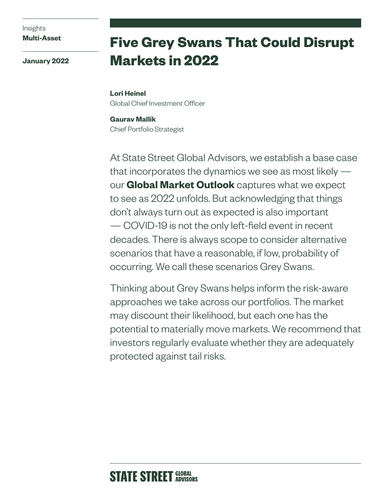Insights **Multi-Asset**

**January 2022**

# **Five Grey Swans That Could Disrupt Markets in 2022**

**Lori Heinel** Global Chief Investment Officer

**Gaurav Mallik** Chief Portfolio Strategist

At State Street Global Advisors, we establish a base case that incorporates the dynamics we see as most likely  $$ our **[Global Market Outlook](https://www.ssga.com/us/en/institutional/ic/insights/global-market-outlook)** captures what we expect to see as 2022 unfolds. But acknowledging that things don't always turn out as expected is also important — COVID-19 is not the only left-field event in recent decades. There is always scope to consider alternative scenarios that have a reasonable, if low, probability of occurring. We call these scenarios Grey Swans.

Thinking about Grey Swans helps inform the risk-aware approaches we take across our portfolios. The market may discount their likelihood, but each one has the potential to materially move markets. We recommend that investors regularly evaluate whether they are adequately protected against tail risks.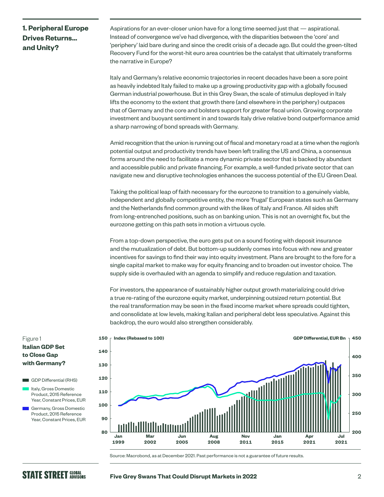## **1. Peripheral Europe Drives Returns… and Unity?**

Aspirations for an ever-closer union have for a long time seemed just that — aspirational. Instead of convergence we've had divergence, with the disparities between the 'core' and 'periphery' laid bare during and since the credit crisis of a decade ago. But could the green-tilted Recovery Fund for the worst-hit euro area countries be the catalyst that ultimately transforms the narrative in Europe?

Italy and Germany's relative economic trajectories in recent decades have been a sore point as heavily indebted Italy failed to make up a growing productivity gap with a globally focused German industrial powerhouse. But in this Grey Swan, the scale of stimulus deployed in Italy lifts the economy to the extent that growth there (and elsewhere in the periphery) outpaces that of Germany and the core and bolsters support for greater fiscal union. Growing corporate investment and buoyant sentiment in and towards Italy drive relative bond outperformance amid a sharp narrowing of bond spreads with Germany.

Amid recognition that the union is running out of fiscal and monetary road at a time when the region's potential output and productivity trends have been left trailing the US and China, a consensus forms around the need to facilitate a more dynamic private sector that is backed by abundant and accessible public and private financing. For example, a well-funded private sector that can navigate new and disruptive technologies enhances the success potential of the EU Green Deal.

Taking the political leap of faith necessary for the eurozone to transition to a genuinely viable, independent and globally competitive entity, the more 'frugal' European states such as Germany and the Netherlands find common ground with the likes of Italy and France. All sides shift from long-entrenched positions, such as on banking union. This is not an overnight fix, but the eurozone getting on this path sets in motion a virtuous cycle.

From a top-down perspective, the euro gets put on a sound footing with deposit insurance and the mutualization of debt. But bottom-up suddenly comes into focus with new and greater incentives for savings to find their way into equity investment. Plans are brought to the fore for a single capital market to make way for equity financing and to broaden out investor choice. The supply side is overhauled with an agenda to simplify and reduce regulation and taxation.

For investors, the appearance of sustainably higher output growth materializing could drive a true re-rating of the eurozone equity market, underpinning outsized return potential. But the real transformation may be seen in the fixed income market where spreads could tighten, and consolidate at low levels, making Italian and peripheral debt less speculative. Against this backdrop, the euro would also strengthen considerably.



Source: Macrobond, as at December 2021. Past performance is not a guarantee of future results.

## Figure 1 **Italian GDP Set to Close Gap with Germany?**

GDP Differential (RHS)

- I Italy, Gross Domestic Product, 2015 Reference Year, Constant Prices, EUR
- **Germany, Gross Domestic** Product, 2015 Reference Year, Constant Prices, EUR

#### **Five Grey Swans That Could Disrupt Markets in 2022** 2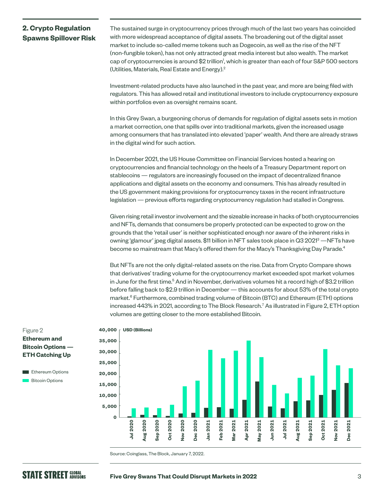## **2. Crypto Regulation Spawns Spillover Risk**

The sustained surge in cryptocurrency prices through much of the last two years has coincided with more widespread acceptance of digital assets. The broadening out of the digital asset market to include so-called meme tokens such as Dogecoin, as well as the rise of the NFT (non-fungible token), has not only attracted great media interest but also wealth. The market cap of cryptocurrencies is around \$2 trillion<sup>1</sup>, which is greater than each of four S&P 500 sectors (Utilities, Materials, Real Estate and Energy).2

Investment-related products have also launched in the past year, and more are being filed with regulators. This has allowed retail and institutional investors to include cryptocurrency exposure within portfolios even as oversight remains scant.

In this Grey Swan, a burgeoning chorus of demands for regulation of digital assets sets in motion a market correction, one that spills over into traditional markets, given the increased usage among consumers that has translated into elevated 'paper' wealth. And there are already straws in the digital wind for such action.

In December 2021, the US House Committee on Financial Services hosted a hearing on cryptocurrencies and financial technology on the heels of a Treasury Department report on stablecoins — regulators are increasingly focused on the impact of decentralized finance applications and digital assets on the economy and consumers. This has already resulted in the US government making provisions for cryptocurrency taxes in the recent infrastructure legislation — previous efforts regarding cryptocurrency regulation had stalled in Congress.

Given rising retail investor involvement and the sizeable increase in hacks of both cryptocurrencies and NFTs, demands that consumers be properly protected can be expected to grow on the grounds that the 'retail user' is neither sophisticated enough nor aware of the inherent risks in owning 'glamour' jpeg digital assets. \$11 billion in NFT sales took place in Q3 2021<sup>3</sup> —NFTs have become so mainstream that Macy's offered them for the Macy's Thanksgiving Day Parade.<sup>4</sup>

But NFTs are not the only digital-related assets on the rise. Data from Crypto Compare shows that derivatives' trading volume for the cryptocurrency market exceeded spot market volumes in June for the first time.<sup>5</sup> And in November, derivatives volumes hit a record high of \$3.2 trillion before falling back to \$2.9 trillion in December — this accounts for about 53% of the total crypto market.<sup>6</sup> Furthermore, combined trading volume of Bitcoin (BTC) and Ethereum (ETH) options increased 443% in 2021, according to The Block Research.<sup>7</sup> As illustrated in Figure 2, ETH option volumes are getting closer to the more established Bitcoin.







Source: Coinglass, The Block, January 7, 2022.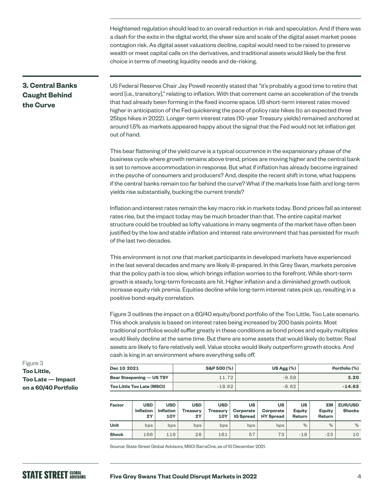Heightened regulation should lead to an overall reduction in risk and speculation. And if there was a dash for the exits in the digital world, the sheer size and scale of the digital asset market poses contagion risk. As digital asset valuations decline, capital would need to be raised to preserve wealth or meet capital calls on the derivatives, and traditional assets would likely be the first choice in terms of meeting liquidity needs and de-risking.

## **3. Central Banks Caught Behind the Curve**

US Federal Reserve Chair Jay Powell recently stated that "it's probably a good time to retire that word [i.e., transitory]," relating to inflation. With that comment came an acceleration of the trends that had already been forming in the fixed income space. US short-term interest rates moved higher in anticipation of the Fed quickening the pace of policy rate hikes (to an expected three 25bps hikes in 2022). Longer-term interest rates (10-year Treasury yields) remained anchored at around 1.5% as markets appeared happy about the signal that the Fed would not let inflation get out of hand.

This bear flattening of the yield curve is a typical occurrence in the expansionary phase of the business cycle where growth remains above trend, prices are moving higher and the central bank is set to remove accommodation in response. But what if inflation has already become ingrained in the psyche of consumers and producers? And, despite the recent shift in tone, what happens if the central banks remain too far behind the curve? What if the markets lose faith and long-term yields rise substantially, bucking the current trends?

Inflation and interest rates remain the key macro risk in markets today. Bond prices fall as interest rates rise, but the impact today may be much broader than that. The entire capital market structure could be troubled as lofty valuations in many segments of the market have often been justified by the low and stable inflation and interest rate environment that has persisted for much of the last two decades.

This environment is not one that market participants in developed markets have experienced in the last several decades and many are likely ill-prepared. In this Grey Swan, markets perceive that the policy path is too slow, which brings inflation worries to the forefront. While short-term growth is steady, long-term forecasts are hit. Higher inflation and a diminished growth outlook increase equity risk premia. Equities decline while long-term interest rates pick up, resulting in a positive bond-equity correlation.

Figure 3 outlines the impact on a 60/40 equity/bond portfolio of the Too Little, Too Late scenario. This shock analysis is based on interest rates being increased by 200 basis points. Most traditional portfolios would suffer greatly in these conditions as bond prices and equity multiples would likely decline at the same time. But there are some assets that would likely do better. Real assets are likely to fare relatively well. Value stocks would likely outperform growth stocks. And cash is king in an environment where everything sells off.

| Dec 10 2021                       | S&P 500 (%) | US Agg $(\%)$ | Portfolio (%) |  |
|-----------------------------------|-------------|---------------|---------------|--|
| <b>Bear Steepening — US TSY</b>   | 11.72       | $-9.58$       | 3.20          |  |
| <b>Too Little Too Late (MSCI)</b> | $-18.62$    | $-8.62$       | $-14.62$      |  |

| <b>Factor</b> | <b>USD</b><br><b>Inflation</b><br>2Y | <b>USD</b><br><b>Inflation</b><br><b>10Y</b> | <b>USD</b><br><b>Treasurv</b><br>2Y | <b>USD</b><br><b>Treasury</b><br>10Y | <b>US</b><br><b>Corporate</b><br><b>IG Spread</b> | US<br><b>Corporate</b><br><b>HY Spread</b> | <b>US</b><br>Equity<br>Return | EM<br>Eauity<br>Return | <b>EUR/USD</b><br><b>Shocks</b> |
|---------------|--------------------------------------|----------------------------------------------|-------------------------------------|--------------------------------------|---------------------------------------------------|--------------------------------------------|-------------------------------|------------------------|---------------------------------|
| Unit          | bps                                  | bps                                          | bps                                 | bps                                  | bps                                               | bps                                        | %                             | $\%$                   | %                               |
| <b>Shock</b>  | 166                                  | 116                                          | 28                                  | 161                                  | 57                                                | 73                                         | $-18$                         | $-23$                  | 10                              |

Source: State Street Global Advisors, MSCI BarraOne, as of 10 December 2021.

Figure 3 **Too Little, Too Late — Impact on a 60/40 Portfolio**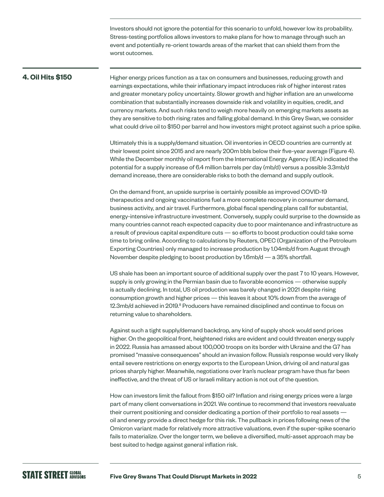Investors should not ignore the potential for this scenario to unfold, however low its probability. Stress-testing portfolios allows investors to make plans for how to manage through such an event and potentially re-orient towards areas of the market that can shield them from the worst outcomes.

#### **4. Oil Hits \$150**

Higher energy prices function as a tax on consumers and businesses, reducing growth and earnings expectations, while their inflationary impact introduces risk of higher interest rates and greater monetary policy uncertainty. Slower growth and higher inflation are an unwelcome combination that substantially increases downside risk and volatility in equities, credit, and currency markets. And such risks tend to weigh more heavily on emerging markets assets as they are sensitive to both rising rates and falling global demand. In this Grey Swan, we consider what could drive oil to \$150 per barrel and how investors might protect against such a price spike.

Ultimately this is a supply/demand situation. Oil inventories in OECD countries are currently at their lowest point since 2015 and are nearly 200m bbls below their five-year average (Figure 4). While the December monthly oil report from the International Energy Agency (IEA) indicated the potential for a supply increase of 6.4 million barrels per day (mb/d) versus a possible 3.3mb/d demand increase, there are considerable risks to both the demand and supply outlook.

On the demand front, an upside surprise is certainly possible as improved COVID-19 therapeutics and ongoing vaccinations fuel a more complete recovery in consumer demand, business activity, and air travel. Furthermore, global fiscal spending plans call for substantial, energy-intensive infrastructure investment. Conversely, supply could surprise to the downside as many countries cannot reach expected capacity due to poor maintenance and infrastructure as a result of previous capital expenditure cuts — so efforts to boost production could take some time to bring online. According to calculations by Reuters, OPEC (Organization of the Petroleum Exporting Countries) only managed to increase production by 1.04mb/d from August through November despite pledging to boost production by 1.6mb/d — a 35% shortfall.

US shale has been an important source of additional supply over the past 7 to 10 years. However, supply is only growing in the Permian basin due to favorable economics — otherwise supply is actually declining. In total, US oil production was barely changed in 2021 despite rising consumption growth and higher prices — this leaves it about 10% down from the average of 12.3mb/d achieved in 2019.<sup>8</sup> Producers have remained disciplined and continue to focus on returning value to shareholders.

Against such a tight supply/demand backdrop, any kind of supply shock would send prices higher. On the geopolitical front, heightened risks are evident and could threaten energy supply in 2022. Russia has amassed about 100,000 troops on its border with Ukraine and the G7 has promised "massive consequences" should an invasion follow. Russia's response would very likely entail severe restrictions on energy exports to the European Union, driving oil and natural gas prices sharply higher. Meanwhile, negotiations over Iran's nuclear program have thus far been ineffective, and the threat of US or Israeli military action is not out of the question.

How can investors limit the fallout from \$150 oil? Inflation and rising energy prices were a large part of many client conversations in 2021. We continue to recommend that investors reevaluate their current positioning and consider dedicating a portion of their portfolio to real assets oil and energy provide a direct hedge for this risk. The pullback in prices following news of the Omicron variant made for relatively more attractive valuations, even if the super-spike scenario fails to materialize. Over the longer term, we believe a diversified, multi-asset approach may be best suited to hedge against general inflation risk.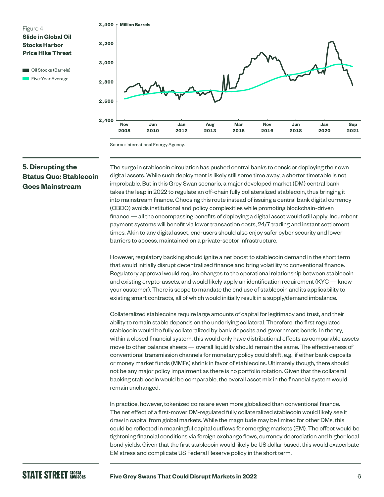

**Cil Stocks (Barrels) Five-Year Average** 



Source: International Energy Agency.

## **5. Disrupting the Status Quo: Stablecoin Goes Mainstream**

The surge in stablecoin circulation has pushed central banks to consider deploying their own digital assets. While such deployment is likely still some time away, a shorter timetable is not improbable. But in this Grey Swan scenario, a major developed market (DM) central bank takes the leap in 2022 to regulate an off-chain fully collateralized stablecoin, thus bringing it into mainstream finance. Choosing this route instead of issuing a central bank digital currency (CBDC) avoids institutional and policy complexities while promoting blockchain-driven finance — all the encompassing benefits of deploying a digital asset would still apply. Incumbent payment systems will benefit via lower transaction costs, 24/7 trading and instant settlement times. Akin to any digital asset, end-users should also enjoy safer cyber security and lower barriers to access, maintained on a private-sector infrastructure.

However, regulatory backing should ignite a net boost to stablecoin demand in the short term that would initially disrupt decentralized finance and bring volatility to conventional finance. Regulatory approval would require changes to the operational relationship between stablecoin and existing crypto-assets, and would likely apply an identification requirement (KYC — know your customer). There is scope to mandate the end use of stablecoin and its applicability to existing smart contracts, all of which would initially result in a supply/demand imbalance.

Collateralized stablecoins require large amounts of capital for legitimacy and trust, and their ability to remain stable depends on the underlying collateral. Therefore, the first regulated stablecoin would be fully collateralized by bank deposits and government bonds. In theory, within a closed financial system, this would only have distributional effects as comparable assets move to other balance sheets — overall liquidity should remain the same. The effectiveness of conventional transmission channels for monetary policy could shift, e.g., if either bank deposits or money market funds (MMFs) shrink in favor of stablecoins. Ultimately though, there should not be any major policy impairment as there is no portfolio rotation. Given that the collateral backing stablecoin would be comparable, the overall asset mix in the financial system would remain unchanged.

In practice, however, tokenized coins are even more globalized than conventional finance. The net effect of a first-mover DM-regulated fully collateralized stablecoin would likely see it draw in capital from global markets. While the magnitude may be limited for other DMs, this could be reflected in meaningful capital outflows for emerging markets (EM). The effect would be tightening financial conditions via foreign exchange flows, currency depreciation and higher local bond yields. Given that the first stablecoin would likely be US dollar based, this would exacerbate EM stress and complicate US Federal Reserve policy in the short term.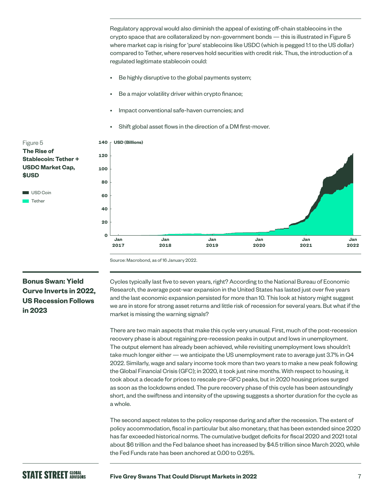Regulatory approval would also diminish the appeal of existing off-chain stablecoins in the crypto space that are collateralized by non-government bonds — this is illustrated in Figure 5 where market cap is rising for 'pure' stablecoins like USDC (which is pegged 1:1 to the US dollar) compared to Tether, where reserves hold securities with credit risk. Thus, the introduction of a regulated legitimate stablecoin could:

- Be highly disruptive to the global payments system;
- Be a major volatility driver within crypto finance;
- Impact conventional safe-haven currencies; and
- Shift global asset flows in the direction of a DM first-mover.



## Figure 5 **The Rise of Stablecoin: Tether + USDC Market Cap, \$USD** USD Coin

 $\blacksquare$  Tether

## **Bonus Swan: Yield Curve Inverts in 2022, US Recession Follows in 2023**

Cycles typically last five to seven years, right? According to the National Bureau of Economic Research, the average post-war expansion in the United States has lasted just over five years and the last economic expansion persisted for more than 10. This look at history might suggest we are in store for strong asset returns and little risk of recession for several years. But what if the market is missing the warning signals?

There are two main aspects that make this cycle very unusual. First, much of the post-recession recovery phase is about regaining pre-recession peaks in output and lows in unemployment. The output element has already been achieved, while revisiting unemployment lows shouldn't take much longer either — we anticipate the US unemployment rate to average just 3.7% in Q4 2022. Similarly, wage and salary income took more than two years to make a new peak following the Global Financial Crisis (GFC); in 2020, it took just nine months. With respect to housing, it took about a decade for prices to rescale pre-GFC peaks, but in 2020 housing prices surged as soon as the lockdowns ended. The pure recovery phase of this cycle has been astoundingly short, and the swiftness and intensity of the upswing suggests a shorter duration for the cycle as a whole.

The second aspect relates to the policy response during and after the recession. The extent of policy accommodation, fiscal in particular but also monetary, that has been extended since 2020 has far exceeded historical norms. The cumulative budget deficits for fiscal 2020 and 2021 total about \$6 trillion and the Fed balance sheet has increased by \$4.5 trillion since March 2020, while the Fed Funds rate has been anchored at 0.00 to 0.25%.

## **STATE STREET GLOBAL**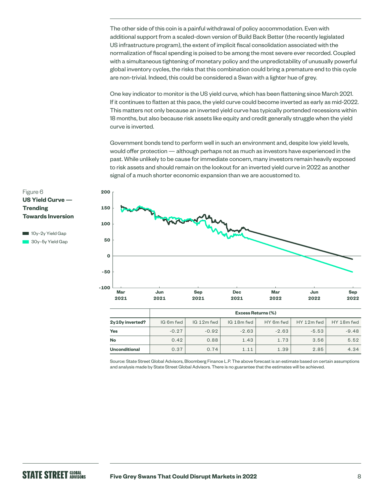The other side of this coin is a painful withdrawal of policy accommodation. Even with additional support from a scaled-down version of Build Back Better (the recently legislated US infrastructure program), the extent of implicit fiscal consolidation associated with the normalization of fiscal spending is poised to be among the most severe ever recorded. Coupled with a simultaneous tightening of monetary policy and the unpredictability of unusually powerful global inventory cycles, the risks that this combination could bring a premature end to this cycle are non-trivial. Indeed, this could be considered a Swan with a lighter hue of grey.

One key indicator to monitor is the US yield curve, which has been flattening since March 2021. If it continues to flatten at this pace, the yield curve could become inverted as early as mid-2022. This matters not only because an inverted yield curve has typically portended recessions within 18 months, but also because risk assets like equity and credit generally struggle when the yield curve is inverted.

Government bonds tend to perform well in such an environment and, despite low yield levels, would offer protection — although perhaps not as much as investors have experienced in the past. While unlikely to be cause for immediate concern, many investors remain heavily exposed to risk assets and should remain on the lookout for an inverted yield curve in 2022 as another signal of a much shorter economic expansion than we are accustomed to.



|                      | <b>Excess Returns (%)</b> |            |            |           |            |                        |  |
|----------------------|---------------------------|------------|------------|-----------|------------|------------------------|--|
| 2y10y inverted?      | IG 6m fwd                 | IG 12m fwd | IG 18m fwd | HY 6m fwd | HY 12m fwd | HY 18 <sub>m</sub> fwd |  |
| Yes                  | $-0.27$                   | $-0.92$    | $-2.63$    | $-2.63$   | $-5.53$    | $-9.48$                |  |
| <b>No</b>            | 0.42                      | 0.88       | 1.43       | 1.73      | 3.56       | 5.52                   |  |
| <b>Unconditional</b> | 0.37                      | 0.74       | 1.11       | 1.39      | 2.85       | 4.34                   |  |

Source: State Street Global Advisors, Bloomberg Finance L.P. The above forecast is an estimate based on certain assumptions and analysis made by State Street Global Advisors. There is no guarantee that the estimates will be achieved.

Figure 6 **US Yield Curve — Trending Towards Inversion** 

10y-2y Yield Gap 30y-5y Yield Gap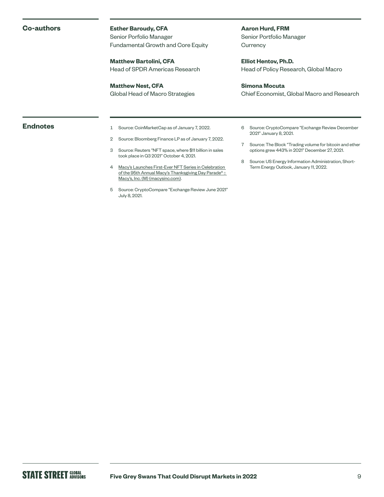#### **Co-authors**

#### **Esther Baroudy, CFA**

Senior Porfolio Manager Fundamental Growth and Core Equity

**Matthew Bartolini, CFA** Head of SPDR Americas Research

**Matthew Nest, CFA** Global Head of Macro Strategies **Aaron Hurd, FRM** Senior Portfolio Manager **Currency** 

**Elliot Hentov, Ph.D.** Head of Policy Research, Global Macro

#### **Simona Mocuta**

Chief Economist, Global Macro and Research

- **Endnotes** 1 Source: CoinMarketCap as of January 7, 2022.
	- 2 Source: Bloomberg Finance LP as of January 7, 2022.
	- 3 Source: Reuters "NFT space, where \$11 billion in sales took place in Q3 2021" October 4, 2021.
	- 4 [Macy's Launches First-Ever NFT Series in Celebration](https://www.macysinc.com/investors/news-events/press-releases/detail/1724/macys-launches-first-ever-nft-series-in-celebration-of)  of the 95th Annual Macy's Thanksgiving Day Parade® :: [Macy's, Inc. \(M\) \(macysinc.com\)](https://www.macysinc.com/investors/news-events/press-releases/detail/1724/macys-launches-first-ever-nft-series-in-celebration-of).
	- 5 Source: CryptoCompare "Exchange Review June 2021" July 8, 2021.
- 6 Source: CryptoCompare "Exchange Review December 2021" January 8, 2021.
- 7 Source: The Block "Trading volume for bitcoin and ether options grew 443% in 2021" December 27, 2021.
- 8 Source: US Energy Information Administration, Short-Term Energy Outlook, January 11, 2022.